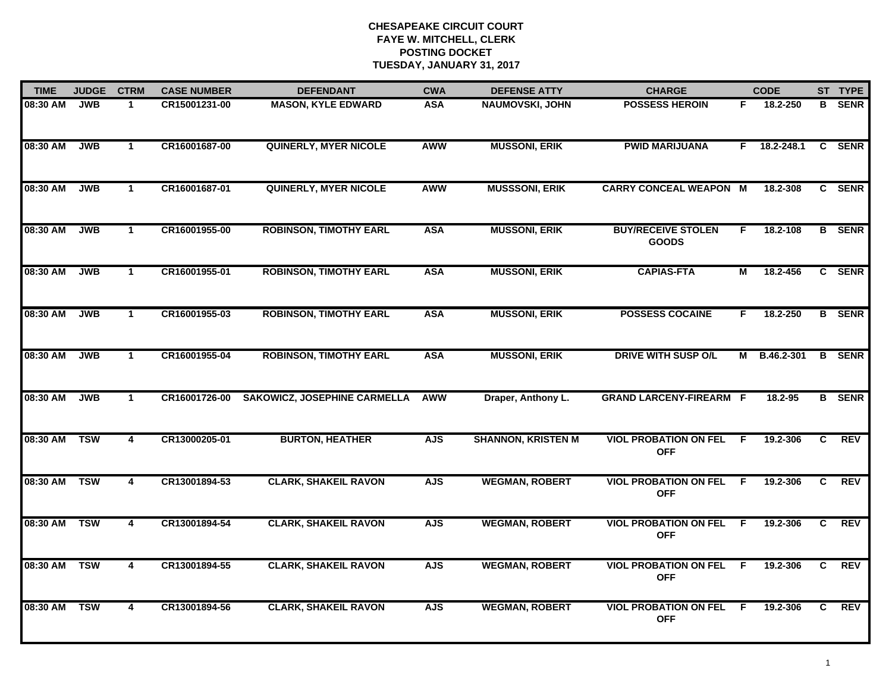| <b>TIME</b> | <b>JUDGE</b> | <b>CTRM</b>             | <b>CASE NUMBER</b> | <b>DEFENDANT</b>                    | <b>CWA</b> | <b>DEFENSE ATTY</b>       | <b>CHARGE</b>                              |    | <b>CODE</b>        |                | ST TYPE       |
|-------------|--------------|-------------------------|--------------------|-------------------------------------|------------|---------------------------|--------------------------------------------|----|--------------------|----------------|---------------|
| 08:30 AM    | <b>JWB</b>   | $\mathbf 1$             | CR15001231-00      | <b>MASON, KYLE EDWARD</b>           | <b>ASA</b> | <b>NAUMOVSKI, JOHN</b>    | <b>POSSESS HEROIN</b>                      | F. | 18.2-250           | B              | <b>SENR</b>   |
| 08:30 AM    | <b>JWB</b>   | $\mathbf{1}$            | CR16001687-00      | QUINERLY, MYER NICOLE               | <b>AWW</b> | <b>MUSSONI, ERIK</b>      | <b>PWID MARIJUANA</b>                      |    | $F = 18.2 - 248.1$ |                | C SENR        |
| 08:30 AM    | <b>JWB</b>   | $\mathbf{1}$            | CR16001687-01      | <b>QUINERLY, MYER NICOLE</b>        | AWW        | <b>MUSSSONI, ERIK</b>     | <b>CARRY CONCEAL WEAPON M</b>              |    | 18.2-308           |                | C SENR        |
| 08:30 AM    | <b>JWB</b>   | $\mathbf 1$             | CR16001955-00      | <b>ROBINSON, TIMOTHY EARL</b>       | <b>ASA</b> | <b>MUSSONI, ERIK</b>      | <b>BUY/RECEIVE STOLEN</b><br><b>GOODS</b>  | F  | 18.2-108           |                | <b>B</b> SENR |
| 08:30 AM    | <b>JWB</b>   | $\mathbf{1}$            | CR16001955-01      | <b>ROBINSON, TIMOTHY EARL</b>       | <b>ASA</b> | <b>MUSSONI, ERIK</b>      | <b>CAPIAS-FTA</b>                          | М  | 18.2-456           |                | C SENR        |
| 08:30 AM    | <b>JWB</b>   | $\mathbf{1}$            | CR16001955-03      | <b>ROBINSON, TIMOTHY EARL</b>       | <b>ASA</b> | <b>MUSSONI, ERIK</b>      | <b>POSSESS COCAINE</b>                     | F. | 18.2-250           |                | <b>B</b> SENR |
| 08:30 AM    | <b>JWB</b>   | $\overline{1}$          | CR16001955-04      | <b>ROBINSON, TIMOTHY EARL</b>       | <b>ASA</b> | <b>MUSSONI, ERIK</b>      | <b>DRIVE WITH SUSP O/L</b>                 | М  | B.46.2-301         |                | <b>B</b> SENR |
| 08:30 AM    | <b>JWB</b>   | $\mathbf{1}$            | CR16001726-00      | <b>SAKOWICZ, JOSEPHINE CARMELLA</b> | <b>AWW</b> | Draper, Anthony L.        | <b>GRAND LARCENY-FIREARM F</b>             |    | 18.2-95            |                | <b>B</b> SENR |
| 08:30 AM    | <b>TSW</b>   | 4                       | CR13000205-01      | <b>BURTON, HEATHER</b>              | <b>AJS</b> | <b>SHANNON, KRISTEN M</b> | <b>VIOL PROBATION ON FEL</b><br><b>OFF</b> | F  | 19.2-306           | C              | <b>REV</b>    |
| 08:30 AM    | <b>TSW</b>   | $\overline{\mathbf{4}}$ | CR13001894-53      | <b>CLARK, SHAKEIL RAVON</b>         | <b>AJS</b> | <b>WEGMAN, ROBERT</b>     | <b>VIOL PROBATION ON FEL</b><br><b>OFF</b> | F. | 19.2-306           | C              | <b>REV</b>    |
| 08:30 AM    | <b>TSW</b>   | 4                       | CR13001894-54      | <b>CLARK, SHAKEIL RAVON</b>         | <b>AJS</b> | <b>WEGMAN, ROBERT</b>     | <b>VIOL PROBATION ON FEL</b><br><b>OFF</b> | F. | 19.2-306           | C.             | <b>REV</b>    |
| 08:30 AM    | <b>TSW</b>   | $\overline{4}$          | CR13001894-55      | <b>CLARK, SHAKEIL RAVON</b>         | <b>AJS</b> | <b>WEGMAN, ROBERT</b>     | <b>VIOL PROBATION ON FEL</b><br><b>OFF</b> | F. | 19.2-306           | $\overline{c}$ | <b>REV</b>    |
| 08:30 AM    | <b>TSW</b>   | 4                       | CR13001894-56      | <b>CLARK, SHAKEIL RAVON</b>         | <b>AJS</b> | <b>WEGMAN, ROBERT</b>     | <b>VIOL PROBATION ON FEL</b><br><b>OFF</b> | -F | 19.2-306           | C.             | REV           |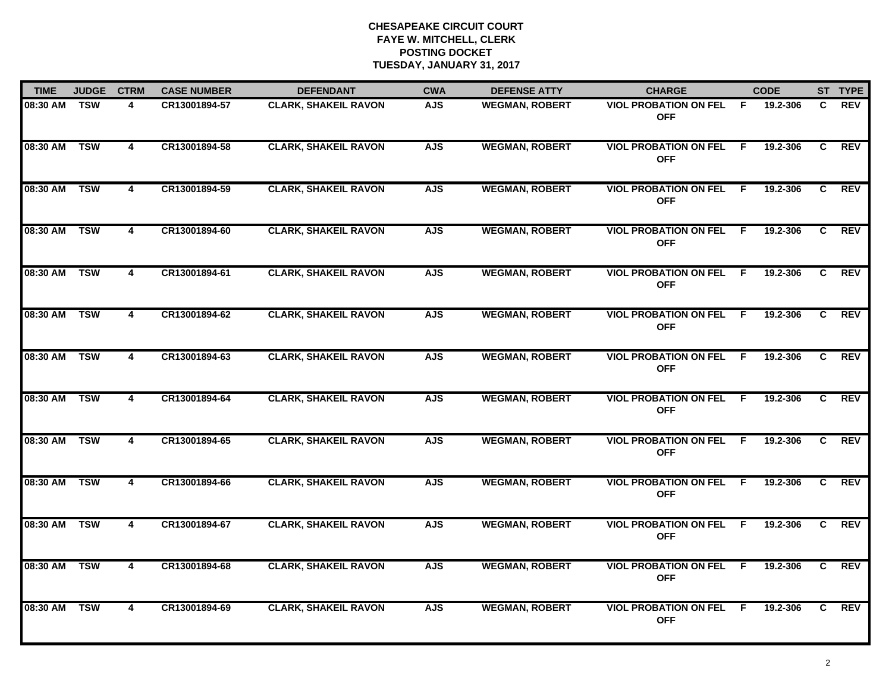| <b>TIME</b>  | <b>JUDGE</b> | <b>CTRM</b>             | <b>CASE NUMBER</b> | <b>DEFENDANT</b>            | <b>CWA</b> | <b>DEFENSE ATTY</b>   | <b>CHARGE</b>                                |     | <b>CODE</b> |    | ST TYPE    |
|--------------|--------------|-------------------------|--------------------|-----------------------------|------------|-----------------------|----------------------------------------------|-----|-------------|----|------------|
| 08:30 AM     | TSW          | 4                       | CR13001894-57      | <b>CLARK, SHAKEIL RAVON</b> | <b>AJS</b> | <b>WEGMAN, ROBERT</b> | <b>VIOL PROBATION ON FEL</b><br><b>OFF</b>   | - F | 19.2-306    | C. | <b>REV</b> |
| 08:30 AM TSW |              | 4                       | CR13001894-58      | <b>CLARK, SHAKEIL RAVON</b> | <b>AJS</b> | <b>WEGMAN, ROBERT</b> | <b>VIOL PROBATION ON FEL</b><br><b>OFF</b>   | - F | 19.2-306    | C  | REV        |
| 08:30 AM     | <b>TSW</b>   | $\overline{4}$          | CR13001894-59      | <b>CLARK, SHAKEIL RAVON</b> | <b>AJS</b> | <b>WEGMAN, ROBERT</b> | <b>VIOL PROBATION ON FEL</b><br><b>OFF</b>   | - F | 19.2-306    | C  | <b>REV</b> |
| 08:30 AM     | <b>TSW</b>   | 4                       | CR13001894-60      | <b>CLARK, SHAKEIL RAVON</b> | <b>AJS</b> | <b>WEGMAN, ROBERT</b> | <b>VIOL PROBATION ON FEL</b><br><b>OFF</b>   | -F  | 19.2-306    | C. | <b>REV</b> |
| 08:30 AM     | <b>TSW</b>   | 4                       | CR13001894-61      | <b>CLARK, SHAKEIL RAVON</b> | <b>AJS</b> | <b>WEGMAN, ROBERT</b> | <b>VIOL PROBATION ON FEL</b><br><b>OFF</b>   | -F  | 19.2-306    | C  | <b>REV</b> |
| 08:30 AM TSW |              | 4                       | CR13001894-62      | <b>CLARK, SHAKEIL RAVON</b> | <b>AJS</b> | <b>WEGMAN, ROBERT</b> | <b>VIOL PROBATION ON FEL F</b><br><b>OFF</b> |     | 19.2-306    | C. | <b>REV</b> |
| 08:30 AM TSW |              | $\overline{\mathbf{4}}$ | CR13001894-63      | <b>CLARK, SHAKEIL RAVON</b> | <b>AJS</b> | <b>WEGMAN, ROBERT</b> | <b>VIOL PROBATION ON FEL</b><br><b>OFF</b>   | - F | 19.2-306    | C  | <b>REV</b> |
| 08:30 AM TSW |              | 4                       | CR13001894-64      | <b>CLARK, SHAKEIL RAVON</b> | <b>AJS</b> | <b>WEGMAN, ROBERT</b> | <b>VIOL PROBATION ON FEL</b><br><b>OFF</b>   | - F | 19.2-306    | C  | REV        |
| 08:30 AM     | <b>TSW</b>   | 4                       | CR13001894-65      | <b>CLARK, SHAKEIL RAVON</b> | <b>AJS</b> | <b>WEGMAN, ROBERT</b> | <b>VIOL PROBATION ON FEL</b><br><b>OFF</b>   | -F  | 19.2-306    | C. | <b>REV</b> |
| 08:30 AM     | <b>TSW</b>   | 4                       | CR13001894-66      | <b>CLARK, SHAKEIL RAVON</b> | <b>AJS</b> | <b>WEGMAN, ROBERT</b> | <b>VIOL PROBATION ON FEL</b><br><b>OFF</b>   | E   | 19.2-306    | C  | <b>REV</b> |
| 08:30 AM     | <b>TSW</b>   | 4                       | CR13001894-67      | <b>CLARK, SHAKEIL RAVON</b> | <b>AJS</b> | <b>WEGMAN, ROBERT</b> | <b>VIOL PROBATION ON FEL F</b><br><b>OFF</b> |     | 19.2-306    | C  | <b>REV</b> |
| 08:30 AM     | <b>TSW</b>   | $\overline{4}$          | CR13001894-68      | <b>CLARK, SHAKEIL RAVON</b> | <b>AJS</b> | <b>WEGMAN, ROBERT</b> | <b>VIOL PROBATION ON FEL</b><br><b>OFF</b>   | F.  | 19.2-306    | C. | <b>REV</b> |
| 08:30 AM     | <b>TSW</b>   | $\overline{\mathbf{4}}$ | CR13001894-69      | <b>CLARK, SHAKEIL RAVON</b> | <b>AJS</b> | <b>WEGMAN, ROBERT</b> | <b>VIOL PROBATION ON FEL</b><br><b>OFF</b>   | - F | 19.2-306    | C. | REV        |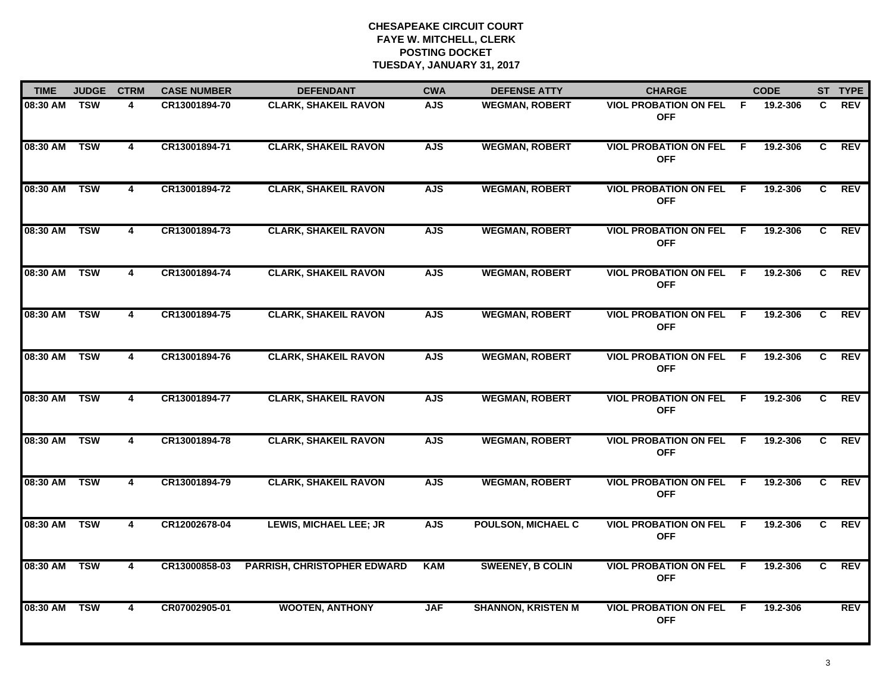| <b>TIME</b>  | <b>JUDGE</b> | <b>CTRM</b>             | <b>CASE NUMBER</b> | <b>DEFENDANT</b>                   | <b>CWA</b> | <b>DEFENSE ATTY</b>       | <b>CHARGE</b>                                |              | <b>CODE</b> |    | ST TYPE    |
|--------------|--------------|-------------------------|--------------------|------------------------------------|------------|---------------------------|----------------------------------------------|--------------|-------------|----|------------|
| 08:30 AM     | TSW          | 4                       | CR13001894-70      | <b>CLARK, SHAKEIL RAVON</b>        | <b>AJS</b> | <b>WEGMAN, ROBERT</b>     | <b>VIOL PROBATION ON FEL</b><br><b>OFF</b>   | - F          | 19.2-306    | C. | <b>REV</b> |
| 08:30 AM TSW |              | 4                       | CR13001894-71      | <b>CLARK, SHAKEIL RAVON</b>        | <b>AJS</b> | <b>WEGMAN, ROBERT</b>     | <b>VIOL PROBATION ON FEL</b><br><b>OFF</b>   | $\mathsf{F}$ | 19.2-306    | C  | REV        |
| 08:30 AM     | <b>TSW</b>   | $\overline{4}$          | CR13001894-72      | <b>CLARK, SHAKEIL RAVON</b>        | <b>AJS</b> | <b>WEGMAN, ROBERT</b>     | <b>VIOL PROBATION ON FEL</b><br><b>OFF</b>   | F.           | 19.2-306    | C  | <b>REV</b> |
| 08:30 AM     | <b>TSW</b>   | 4                       | CR13001894-73      | <b>CLARK, SHAKEIL RAVON</b>        | <b>AJS</b> | <b>WEGMAN, ROBERT</b>     | <b>VIOL PROBATION ON FEL</b><br><b>OFF</b>   | F.           | 19.2-306    | C. | <b>REV</b> |
| 08:30 AM     | <b>TSW</b>   | 4                       | CR13001894-74      | <b>CLARK, SHAKEIL RAVON</b>        | <b>AJS</b> | <b>WEGMAN, ROBERT</b>     | <b>VIOL PROBATION ON FEL</b><br><b>OFF</b>   | F.           | 19.2-306    | C  | <b>REV</b> |
| 08:30 AM TSW |              | 4                       | CR13001894-75      | <b>CLARK, SHAKEIL RAVON</b>        | <b>AJS</b> | <b>WEGMAN, ROBERT</b>     | <b>VIOL PROBATION ON FEL F</b><br><b>OFF</b> |              | 19.2-306    | C. | <b>REV</b> |
| 08:30 AM TSW |              | $\overline{\mathbf{4}}$ | CR13001894-76      | <b>CLARK, SHAKEIL RAVON</b>        | <b>AJS</b> | <b>WEGMAN, ROBERT</b>     | <b>VIOL PROBATION ON FEL</b><br><b>OFF</b>   | F            | 19.2-306    | C. | <b>REV</b> |
| 08:30 AM TSW |              | 4                       | CR13001894-77      | <b>CLARK, SHAKEIL RAVON</b>        | <b>AJS</b> | <b>WEGMAN, ROBERT</b>     | <b>VIOL PROBATION ON FEL</b><br><b>OFF</b>   | - F          | 19.2-306    | C  | REV        |
| 08:30 AM     | <b>TSW</b>   | 4                       | CR13001894-78      | <b>CLARK, SHAKEIL RAVON</b>        | <b>AJS</b> | <b>WEGMAN, ROBERT</b>     | <b>VIOL PROBATION ON FEL</b><br><b>OFF</b>   | -F           | 19.2-306    | C. | <b>REV</b> |
| 08:30 AM     | <b>TSW</b>   | 4                       | CR13001894-79      | <b>CLARK, SHAKEIL RAVON</b>        | <b>AJS</b> | <b>WEGMAN, ROBERT</b>     | <b>VIOL PROBATION ON FEL</b><br><b>OFF</b>   | E            | 19.2-306    | C  | <b>REV</b> |
| 08:30 AM TSW |              | 4                       | CR12002678-04      | <b>LEWIS, MICHAEL LEE; JR</b>      | <b>AJS</b> | <b>POULSON, MICHAEL C</b> | <b>VIOL PROBATION ON FEL</b><br><b>OFF</b>   | - F          | 19.2-306    | C. | <b>REV</b> |
| 08:30 AM     | <b>TSW</b>   | $\overline{\mathbf{4}}$ | CR13000858-03      | <b>PARRISH, CHRISTOPHER EDWARD</b> | <b>KAM</b> | <b>SWEENEY, B COLIN</b>   | <b>VIOL PROBATION ON FEL</b><br><b>OFF</b>   | F.           | 19.2-306    | C. | <b>REV</b> |
| 08:30 AM     | <b>TSW</b>   | 4                       | CR07002905-01      | <b>WOOTEN, ANTHONY</b>             | <b>JAF</b> | <b>SHANNON, KRISTEN M</b> | <b>VIOL PROBATION ON FEL</b><br><b>OFF</b>   | -F           | 19.2-306    |    | <b>REV</b> |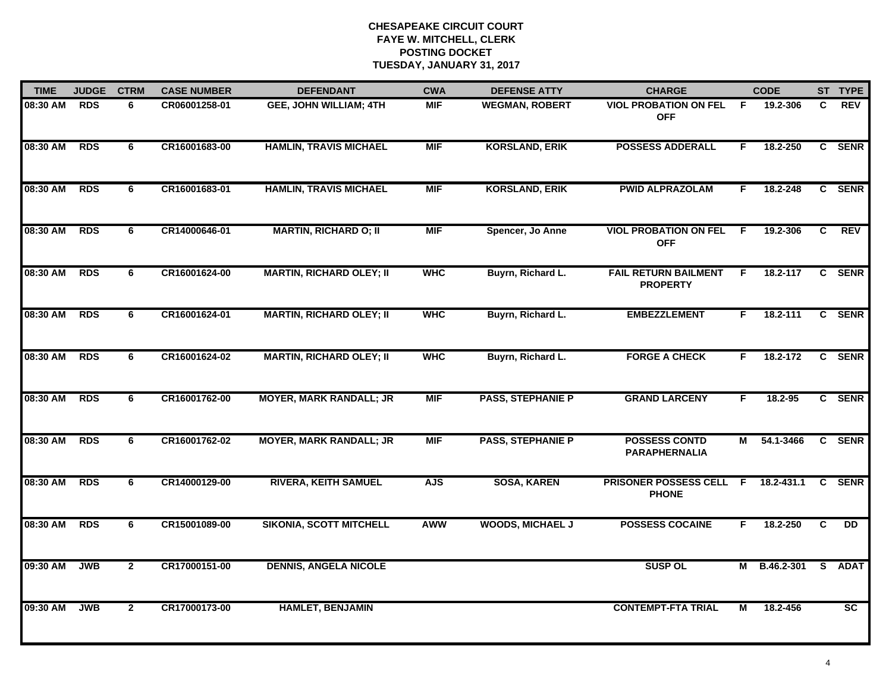| <b>TIME</b> | <b>JUDGE</b> | <b>CTRM</b>    | <b>CASE NUMBER</b> | <b>DEFENDANT</b>                | <b>CWA</b> | <b>DEFENSE ATTY</b>      | <b>CHARGE</b>                                  |    | <b>CODE</b>    |              | ST TYPE         |
|-------------|--------------|----------------|--------------------|---------------------------------|------------|--------------------------|------------------------------------------------|----|----------------|--------------|-----------------|
| 08:30 AM    | <b>RDS</b>   | 6              | CR06001258-01      | <b>GEE, JOHN WILLIAM; 4TH</b>   | <b>MIF</b> | <b>WEGMAN, ROBERT</b>    | <b>VIOL PROBATION ON FEL</b><br><b>OFF</b>     | F. | 19.2-306       | C.           | <b>REV</b>      |
| 08:30 AM    | <b>RDS</b>   | 6              | CR16001683-00      | <b>HAMLIN, TRAVIS MICHAEL</b>   | <b>MIF</b> | <b>KORSLAND, ERIK</b>    | <b>POSSESS ADDERALL</b>                        | F. | 18.2-250       |              | C SENR          |
| 08:30 AM    | <b>RDS</b>   | 6              | CR16001683-01      | <b>HAMLIN, TRAVIS MICHAEL</b>   | <b>MIF</b> | <b>KORSLAND, ERIK</b>    | <b>PWID ALPRAZOLAM</b>                         | F. | 18.2-248       |              | C SENR          |
| 08:30 AM    | <b>RDS</b>   | 6              | CR14000646-01      | <b>MARTIN, RICHARD O; II</b>    | <b>MIF</b> | Spencer, Jo Anne         | <b>VIOL PROBATION ON FEL</b><br><b>OFF</b>     | F. | 19.2-306       | C.           | <b>REV</b>      |
| 08:30 AM    | <b>RDS</b>   | 6              | CR16001624-00      | <b>MARTIN, RICHARD OLEY; II</b> | <b>WHC</b> | Buyrn, Richard L.        | <b>FAIL RETURN BAILMENT</b><br><b>PROPERTY</b> | F. | 18.2-117       |              | C SENR          |
| 08:30 AM    | <b>RDS</b>   | 6              | CR16001624-01      | <b>MARTIN, RICHARD OLEY; II</b> | <b>WHC</b> | Buyrn, Richard L.        | <b>EMBEZZLEMENT</b>                            | F. | 18.2-111       |              | C SENR          |
| 08:30 AM    | RDS          | 6              | CR16001624-02      | <b>MARTIN, RICHARD OLEY; II</b> | <b>WHC</b> | Buyrn, Richard L.        | <b>FORGE A CHECK</b>                           | F. | 18.2-172       | $\mathbf{c}$ | <b>SENR</b>     |
| 08:30 AM    | <b>RDS</b>   | 6              | CR16001762-00      | <b>MOYER, MARK RANDALL; JR</b>  | <b>MIF</b> | <b>PASS, STEPHANIE P</b> | <b>GRAND LARCENY</b>                           | F  | 18.2-95        |              | C SENR          |
| 08:30 AM    | <b>RDS</b>   | 6              | CR16001762-02      | <b>MOYER, MARK RANDALL; JR</b>  | <b>MIF</b> | <b>PASS, STEPHANIE P</b> | <b>POSSESS CONTD</b><br><b>PARAPHERNALIA</b>   | м  | 54.1-3466      |              | C SENR          |
| 08:30 AM    | <b>RDS</b>   | 6              | CR14000129-00      | <b>RIVERA, KEITH SAMUEL</b>     | <b>AJS</b> | <b>SOSA, KAREN</b>       | PRISONER POSSESS CELL<br><b>PHONE</b>          | F. | 18.2-431.1     | C.           | <b>SENR</b>     |
| 08:30 AM    | <b>RDS</b>   | 6              | CR15001089-00      | <b>SIKONIA, SCOTT MITCHELL</b>  | <b>AWW</b> | <b>WOODS, MICHAEL J</b>  | <b>POSSESS COCAINE</b>                         | F. | 18.2-250       | C            | <b>DD</b>       |
| 09:30 AM    | <b>JWB</b>   | $\overline{2}$ | CR17000151-00      | <b>DENNIS, ANGELA NICOLE</b>    |            |                          | <b>SUSP OL</b>                                 |    | M B.46.2-301 S |              | <b>ADAT</b>     |
| 09:30 AM    | <b>JWB</b>   | $\mathbf{2}$   | CR17000173-00      | <b>HAMLET, BENJAMIN</b>         |            |                          | <b>CONTEMPT-FTA TRIAL</b>                      | м  | 18.2-456       |              | $\overline{sc}$ |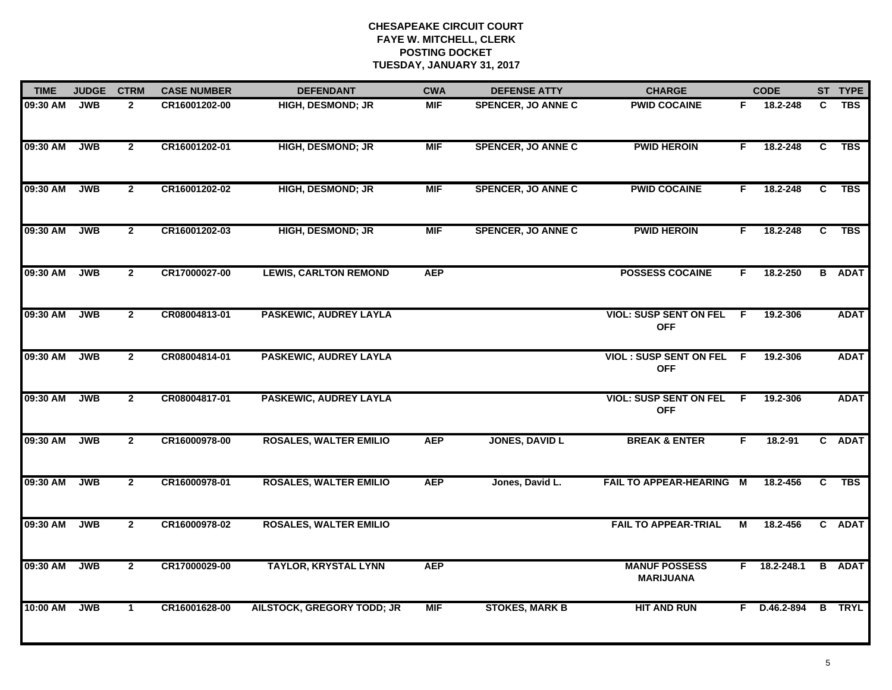| <b>TIME</b> | <b>JUDGE</b> | <b>CTRM</b>    | <b>CASE NUMBER</b> | <b>DEFENDANT</b>                  | <b>CWA</b> | <b>DEFENSE ATTY</b>       | <b>CHARGE</b>                               |    | <b>CODE</b>    |    | ST TYPE       |
|-------------|--------------|----------------|--------------------|-----------------------------------|------------|---------------------------|---------------------------------------------|----|----------------|----|---------------|
| 09:30 AM    | <b>JWB</b>   | $\overline{2}$ | CR16001202-00      | <b>HIGH, DESMOND; JR</b>          | <b>MIF</b> | <b>SPENCER, JO ANNE C</b> | <b>PWID COCAINE</b>                         | F. | 18.2-248       | C. | <b>TBS</b>    |
| 09:30 AM    | <b>JWB</b>   | $\overline{2}$ | CR16001202-01      | <b>HIGH, DESMOND; JR</b>          | <b>MIF</b> | <b>SPENCER, JO ANNE C</b> | <b>PWID HEROIN</b>                          | F. | 18.2-248       | C  | <b>TBS</b>    |
| 09:30 AM    | <b>JWB</b>   | $\overline{2}$ | CR16001202-02      | HIGH, DESMOND; JR                 | <b>MIF</b> | <b>SPENCER, JO ANNE C</b> | <b>PWID COCAINE</b>                         | F  | 18.2-248       | C  | <b>TBS</b>    |
| 09:30 AM    | <b>JWB</b>   | $\mathbf{2}$   | CR16001202-03      | <b>HIGH, DESMOND; JR</b>          | <b>MIF</b> | <b>SPENCER, JO ANNE C</b> | <b>PWID HEROIN</b>                          | F. | 18.2-248       | C  | <b>TBS</b>    |
| 09:30 AM    | <b>JWB</b>   | $\mathbf{2}$   | CR17000027-00      | <b>LEWIS, CARLTON REMOND</b>      | <b>AEP</b> |                           | <b>POSSESS COCAINE</b>                      | F. | 18.2-250       |    | <b>B</b> ADAT |
| 09:30 AM    | <b>JWB</b>   | $\mathbf{2}$   | CR08004813-01      | PASKEWIC, AUDREY LAYLA            |            |                           | <b>VIOL: SUSP SENT ON FEL</b><br><b>OFF</b> | E  | 19.2-306       |    | <b>ADAT</b>   |
| 09:30 AM    | <b>JWB</b>   | $\overline{2}$ | CR08004814-01      | <b>PASKEWIC, AUDREY LAYLA</b>     |            |                           | <b>VIOL: SUSP SENT ON FEL</b><br><b>OFF</b> | -F | 19.2-306       |    | <b>ADAT</b>   |
| 09:30 AM    | <b>JWB</b>   | $\mathbf{2}$   | CR08004817-01      | PASKEWIC, AUDREY LAYLA            |            |                           | <b>VIOL: SUSP SENT ON FEL</b><br><b>OFF</b> | F. | 19.2-306       |    | <b>ADAT</b>   |
| 09:30 AM    | <b>JWB</b>   | $\mathbf{2}$   | CR16000978-00      | <b>ROSALES, WALTER EMILIO</b>     | <b>AEP</b> | <b>JONES, DAVID L</b>     | <b>BREAK &amp; ENTER</b>                    | F  | $18.2 - 91$    |    | C ADAT        |
| 09:30 AM    | <b>JWB</b>   | $\overline{2}$ | CR16000978-01      | <b>ROSALES, WALTER EMILIO</b>     | <b>AEP</b> | Jones, David L.           | FAIL TO APPEAR-HEARING M                    |    | 18.2-456       | C  | <b>TBS</b>    |
| 09:30 AM    | <b>JWB</b>   | $\overline{2}$ | CR16000978-02      | <b>ROSALES, WALTER EMILIO</b>     |            |                           | <b>FAIL TO APPEAR-TRIAL</b>                 | М  | 18.2-456       |    | C ADAT        |
| 09:30 AM    | <b>JWB</b>   | $\overline{2}$ | CR17000029-00      | <b>TAYLOR, KRYSTAL LYNN</b>       | <b>AEP</b> |                           | <b>MANUF POSSESS</b><br><b>MARIJUANA</b>    |    | $F$ 18.2-248.1 |    | <b>B</b> ADAT |
| 10:00 AM    | <b>JWB</b>   | $\mathbf 1$    | CR16001628-00      | <b>AILSTOCK, GREGORY TODD; JR</b> | <b>MIF</b> | <b>STOKES, MARK B</b>     | <b>HIT AND RUN</b>                          |    | F D.46.2-894   |    | <b>B</b> TRYL |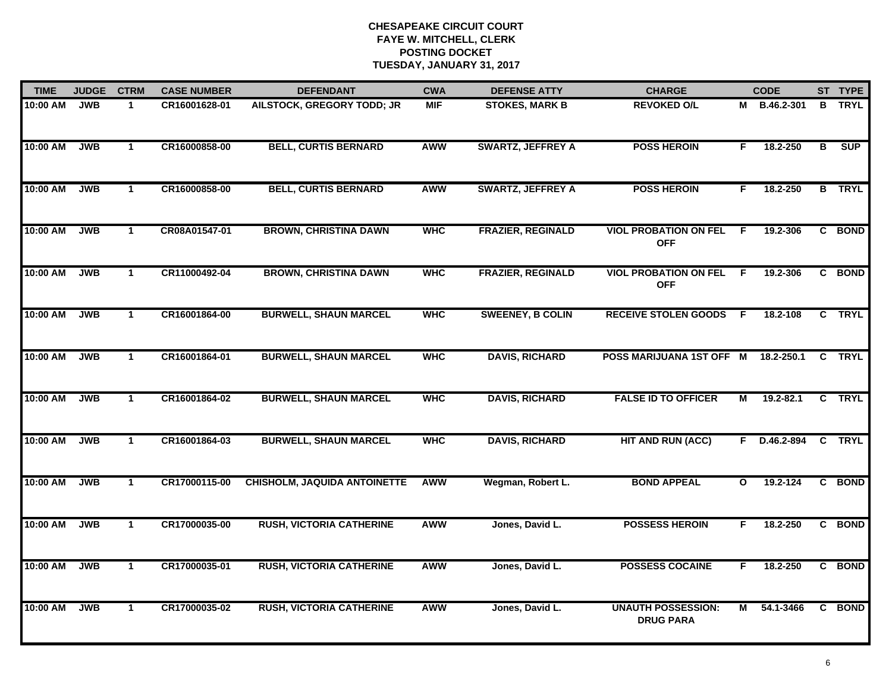| <b>TIME</b> | <b>JUDGE</b> | <b>CTRM</b>  | <b>CASE NUMBER</b> | <b>DEFENDANT</b>                    | <b>CWA</b> | <b>DEFENSE ATTY</b>      | <b>CHARGE</b>                                 |     | <b>CODE</b>   |   | ST TYPE       |
|-------------|--------------|--------------|--------------------|-------------------------------------|------------|--------------------------|-----------------------------------------------|-----|---------------|---|---------------|
| 10:00 AM    | <b>JWB</b>   | $\mathbf{1}$ | CR16001628-01      | AILSTOCK, GREGORY TODD; JR          | <b>MIF</b> | <b>STOKES, MARK B</b>    | <b>REVOKED O/L</b>                            |     | M B.46.2-301  | B | <b>TRYL</b>   |
| 10:00 AM    | <b>JWB</b>   | $\mathbf{1}$ | CR16000858-00      | <b>BELL, CURTIS BERNARD</b>         | AWW        | <b>SWARTZ, JEFFREY A</b> | <b>POSS HEROIN</b>                            | F.  | 18.2-250      | В | SUP           |
| 10:00 AM    | <b>JWB</b>   | $\mathbf{1}$ | CR16000858-00      | <b>BELL, CURTIS BERNARD</b>         | <b>AWW</b> | <b>SWARTZ, JEFFREY A</b> | <b>POSS HEROIN</b>                            | F.  | 18.2-250      |   | <b>B</b> TRYL |
| 10:00 AM    | <b>JWB</b>   | $\mathbf 1$  | CR08A01547-01      | <b>BROWN, CHRISTINA DAWN</b>        | <b>WHC</b> | <b>FRAZIER, REGINALD</b> | <b>VIOL PROBATION ON FEL</b><br><b>OFF</b>    | -F  | 19.2-306      |   | C BOND        |
| 10:00 AM    | <b>JWB</b>   | $\mathbf{1}$ | CR11000492-04      | <b>BROWN, CHRISTINA DAWN</b>        | <b>WHC</b> | <b>FRAZIER, REGINALD</b> | <b>VIOL PROBATION ON FEL</b><br><b>OFF</b>    | - F | 19.2-306      |   | C BOND        |
| 10:00 AM    | <b>JWB</b>   | $\mathbf{1}$ | CR16001864-00      | <b>BURWELL, SHAUN MARCEL</b>        | <b>WHC</b> | <b>SWEENEY, B COLIN</b>  | <b>RECEIVE STOLEN GOODS</b>                   | - F | 18.2-108      |   | C TRYL        |
| 10:00 AM    | <b>JWB</b>   | $\mathbf{1}$ | CR16001864-01      | <b>BURWELL, SHAUN MARCEL</b>        | <b>WHC</b> | <b>DAVIS, RICHARD</b>    | POSS MARIJUANA 1ST OFF M                      |     | 18.2-250.1    | C | <b>TRYL</b>   |
| 10:00 AM    | <b>JWB</b>   | $\mathbf{1}$ | CR16001864-02      | <b>BURWELL, SHAUN MARCEL</b>        | <b>WHC</b> | <b>DAVIS, RICHARD</b>    | <b>FALSE ID TO OFFICER</b>                    | М   | $19.2 - 82.1$ |   | C TRYL        |
| 10:00 AM    | <b>JWB</b>   | $\mathbf{1}$ | CR16001864-03      | <b>BURWELL, SHAUN MARCEL</b>        | <b>WHC</b> | <b>DAVIS, RICHARD</b>    | <b>HIT AND RUN (ACC)</b>                      | F.  | D.46.2-894    |   | C TRYL        |
| 10:00 AM    | <b>JWB</b>   | $\mathbf{1}$ | CR17000115-00      | <b>CHISHOLM, JAQUIDA ANTOINETTE</b> | <b>AWW</b> | Wegman, Robert L.        | <b>BOND APPEAL</b>                            | O   | $19.2 - 124$  |   | C BOND        |
| 10:00 AM    | <b>JWB</b>   | $\mathbf 1$  | CR17000035-00      | <b>RUSH, VICTORIA CATHERINE</b>     | <b>AWW</b> | Jones, David L.          | <b>POSSESS HEROIN</b>                         | F.  | 18.2-250      |   | C BOND        |
| 10:00 AM    | <b>JWB</b>   | $\mathbf{1}$ | CR17000035-01      | <b>RUSH, VICTORIA CATHERINE</b>     | <b>AWW</b> | Jones, David L.          | <b>POSSESS COCAINE</b>                        | F   | 18.2-250      | C | <b>BOND</b>   |
| 10:00 AM    | <b>JWB</b>   | $\mathbf{1}$ | CR17000035-02      | <b>RUSH, VICTORIA CATHERINE</b>     | AWW        | Jones, David L.          | <b>UNAUTH POSSESSION:</b><br><b>DRUG PARA</b> | M   | 54.1-3466     |   | C BOND        |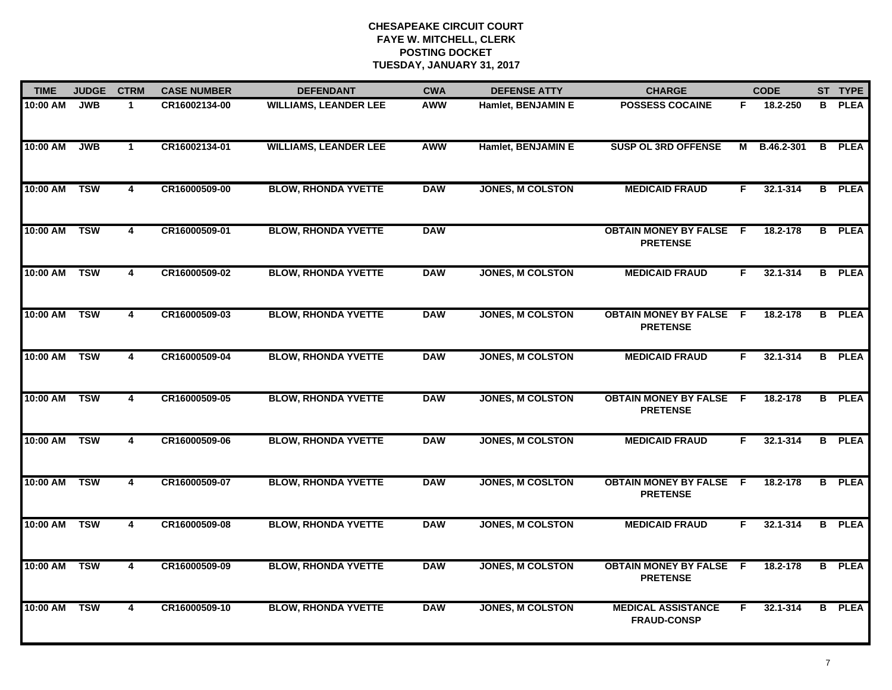| <b>TIME</b> | <b>JUDGE</b> | <b>CTRM</b>             | <b>CASE NUMBER</b> | <b>DEFENDANT</b>             | <b>CWA</b> | <b>DEFENSE ATTY</b>     | <b>CHARGE</b>                                     |    | <b>CODE</b> |                | ST TYPE       |
|-------------|--------------|-------------------------|--------------------|------------------------------|------------|-------------------------|---------------------------------------------------|----|-------------|----------------|---------------|
| 10:00 AM    | <b>JWB</b>   | $\mathbf 1$             | CR16002134-00      | <b>WILLIAMS, LEANDER LEE</b> | <b>AWW</b> | Hamlet, BENJAMIN E      | <b>POSSESS COCAINE</b>                            | F. | 18.2-250    | в              | <b>PLEA</b>   |
| 10:00 AM    | <b>JWB</b>   | $\mathbf{1}$            | CR16002134-01      | <b>WILLIAMS, LEANDER LEE</b> | <b>AWW</b> | Hamlet, BENJAMIN E      | <b>SUSP OL 3RD OFFENSE</b>                        | M  | B.46.2-301  | В              | <b>PLEA</b>   |
| 10:00 AM    | <b>TSW</b>   | $\overline{4}$          | CR16000509-00      | <b>BLOW, RHONDA YVETTE</b>   | <b>DAW</b> | <b>JONES, M COLSTON</b> | <b>MEDICAID FRAUD</b>                             | F. | 32.1-314    |                | <b>B</b> PLEA |
| 10:00 AM    | <b>TSW</b>   | 4                       | CR16000509-01      | <b>BLOW, RHONDA YVETTE</b>   | <b>DAW</b> |                         | <b>OBTAIN MONEY BY FALSE F</b><br><b>PRETENSE</b> |    | 18.2-178    | B              | <b>PLEA</b>   |
| 10:00 AM    | <b>TSW</b>   | 4                       | CR16000509-02      | <b>BLOW, RHONDA YVETTE</b>   | <b>DAW</b> | <b>JONES, M COLSTON</b> | <b>MEDICAID FRAUD</b>                             | F. | 32.1-314    | B              | <b>PLEA</b>   |
| 10:00 AM    | <b>TSW</b>   | 4                       | CR16000509-03      | <b>BLOW, RHONDA YVETTE</b>   | <b>DAW</b> | <b>JONES, M COLSTON</b> | <b>OBTAIN MONEY BY FALSE F</b><br><b>PRETENSE</b> |    | 18.2-178    | B              | <b>PLEA</b>   |
| 10:00 AM    | <b>TSW</b>   | $\overline{\mathbf{4}}$ | CR16000509-04      | <b>BLOW, RHONDA YVETTE</b>   | <b>DAW</b> | <b>JONES, M COLSTON</b> | <b>MEDICAID FRAUD</b>                             | F  | 32.1-314    | B              | <b>PLEA</b>   |
| 10:00 AM    | <b>TSW</b>   | $\overline{4}$          | CR16000509-05      | <b>BLOW, RHONDA YVETTE</b>   | <b>DAW</b> | <b>JONES, M COLSTON</b> | <b>OBTAIN MONEY BY FALSE F</b><br><b>PRETENSE</b> |    | 18.2-178    | $\overline{B}$ | <b>PLEA</b>   |
| 10:00 AM    | <b>TSW</b>   | 4                       | CR16000509-06      | <b>BLOW, RHONDA YVETTE</b>   | <b>DAW</b> | <b>JONES, M COLSTON</b> | <b>MEDICAID FRAUD</b>                             | F. | 32.1-314    | B              | <b>PLEA</b>   |
| 10:00 AM    | <b>TSW</b>   | 4                       | CR16000509-07      | <b>BLOW, RHONDA YVETTE</b>   | <b>DAW</b> | <b>JONES, M COSLTON</b> | <b>OBTAIN MONEY BY FALSE F</b><br><b>PRETENSE</b> |    | 18.2-178    | B              | <b>PLEA</b>   |
| 10:00 AM    | <b>TSW</b>   | 4                       | CR16000509-08      | <b>BLOW, RHONDA YVETTE</b>   | <b>DAW</b> | <b>JONES, M COLSTON</b> | <b>MEDICAID FRAUD</b>                             | F  | 32.1-314    | B              | <b>PLEA</b>   |
| 10:00 AM    | <b>TSW</b>   | 4                       | CR16000509-09      | <b>BLOW, RHONDA YVETTE</b>   | <b>DAW</b> | <b>JONES, M COLSTON</b> | <b>OBTAIN MONEY BY FALSE F</b><br><b>PRETENSE</b> |    | 18.2-178    | $\overline{B}$ | <b>PLEA</b>   |
| 10:00 AM    | <b>TSW</b>   | $\overline{4}$          | CR16000509-10      | <b>BLOW, RHONDA YVETTE</b>   | <b>DAW</b> | <b>JONES, M COLSTON</b> | <b>MEDICAL ASSISTANCE</b><br><b>FRAUD-CONSP</b>   | F. | 32.1-314    | $\overline{B}$ | <b>PLEA</b>   |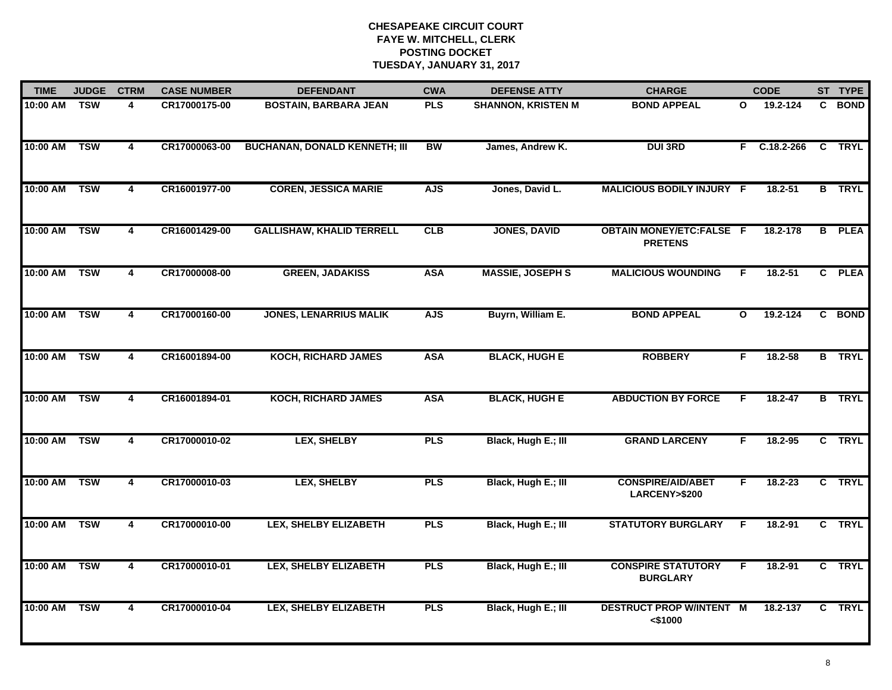| <b>TIME</b> | <b>JUDGE</b> | <b>CTRM</b>             | <b>CASE NUMBER</b> | <b>DEFENDANT</b>                     | <b>CWA</b> | <b>DEFENSE ATTY</b>       | <b>CHARGE</b>                                     |              | <b>CODE</b>    | ST TYPE       |
|-------------|--------------|-------------------------|--------------------|--------------------------------------|------------|---------------------------|---------------------------------------------------|--------------|----------------|---------------|
| 10:00 AM    | <b>TSW</b>   | 4                       | CR17000175-00      | <b>BOSTAIN, BARBARA JEAN</b>         | <b>PLS</b> | <b>SHANNON, KRISTEN M</b> | <b>BOND APPEAL</b>                                | $\mathbf{o}$ | 19.2-124       | C BOND        |
| 10:00 AM    | <b>TSW</b>   | 4                       | CR17000063-00      | <b>BUCHANAN, DONALD KENNETH; III</b> | BW         | James, Andrew K.          | <b>DUI3RD</b>                                     |              | $F$ C.18.2-266 | C TRYL        |
| 10:00 AM    | <b>TSW</b>   | $\overline{4}$          | CR16001977-00      | <b>COREN, JESSICA MARIE</b>          | <b>AJS</b> | Jones, David L.           | <b>MALICIOUS BODILY INJURY F</b>                  |              | 18.2-51        | <b>B</b> TRYL |
| 10:00 AM    | <b>TSW</b>   | 4                       | CR16001429-00      | <b>GALLISHAW, KHALID TERRELL</b>     | CLB        | <b>JONES, DAVID</b>       | <b>OBTAIN MONEY/ETC:FALSE F</b><br><b>PRETENS</b> |              | 18.2-178       | <b>B</b> PLEA |
| 10:00 AM    | <b>TSW</b>   | 4                       | CR17000008-00      | <b>GREEN, JADAKISS</b>               | <b>ASA</b> | <b>MASSIE, JOSEPH S</b>   | <b>MALICIOUS WOUNDING</b>                         | F.           | $18.2 - 51$    | C PLEA        |
| 10:00 AM    | <b>TSW</b>   | 4                       | CR17000160-00      | <b>JONES, LENARRIUS MALIK</b>        | <b>AJS</b> | Buyrn, William E.         | <b>BOND APPEAL</b>                                | $\mathbf{o}$ | 19.2-124       | C BOND        |
| 10:00 AM    | <b>TSW</b>   | $\overline{\mathbf{4}}$ | CR16001894-00      | <b>KOCH, RICHARD JAMES</b>           | <b>ASA</b> | <b>BLACK, HUGH E</b>      | <b>ROBBERY</b>                                    | F.           | 18.2-58        | <b>B</b> TRYL |
| 10:00 AM    | <b>TSW</b>   | $\overline{\mathbf{4}}$ | CR16001894-01      | <b>KOCH, RICHARD JAMES</b>           | <b>ASA</b> | <b>BLACK, HUGH E</b>      | <b>ABDUCTION BY FORCE</b>                         | F            | 18.2-47        | <b>B</b> TRYL |
| 10:00 AM    | <b>TSW</b>   | 4                       | CR17000010-02      | <b>LEX, SHELBY</b>                   | <b>PLS</b> | Black, Hugh E.; III       | <b>GRAND LARCENY</b>                              | F.           | $18.2 - 95$    | C TRYL        |
| 10:00 AM    | <b>TSW</b>   | $\overline{\mathbf{4}}$ | CR17000010-03      | LEX, SHELBY                          | <b>PLS</b> | Black, Hugh E.; III       | <b>CONSPIRE/AID/ABET</b><br>LARCENY>\$200         | F.           | $18.2 - 23$    | C TRYL        |
| 10:00 AM    | <b>TSW</b>   | 4                       | CR17000010-00      | <b>LEX, SHELBY ELIZABETH</b>         | <b>PLS</b> | Black, Hugh E.; III       | <b>STATUTORY BURGLARY</b>                         | F            | $18.2 - 91$    | C TRYL        |
| 10:00 AM    | <b>TSW</b>   | $\overline{\mathbf{4}}$ | CR17000010-01      | <b>LEX, SHELBY ELIZABETH</b>         | <b>PLS</b> | Black, Hugh E.; III       | <b>CONSPIRE STATUTORY</b><br><b>BURGLARY</b>      | F.           | 18.2-91        | C TRYL        |
| 10:00 AM    | <b>TSW</b>   | 4                       | CR17000010-04      | <b>LEX, SHELBY ELIZABETH</b>         | <b>PLS</b> | Black, Hugh E.; III       | <b>DESTRUCT PROP W/INTENT M</b><br>$<$ \$1000     |              | 18.2-137       | C TRYL        |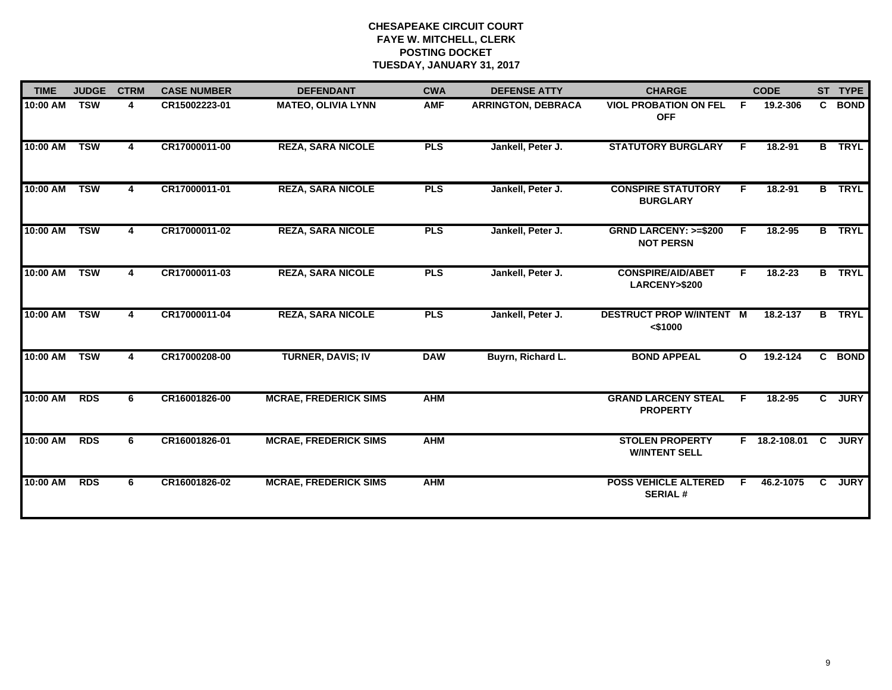| <b>TIME</b> | <b>JUDGE</b> | <b>CTRM</b> | <b>CASE NUMBER</b> | <b>DEFENDANT</b>             | <b>CWA</b> | <b>DEFENSE ATTY</b>       | <b>CHARGE</b>                                       |              | <b>CODE</b>     |                | ST TYPE       |
|-------------|--------------|-------------|--------------------|------------------------------|------------|---------------------------|-----------------------------------------------------|--------------|-----------------|----------------|---------------|
| 10:00 AM    | <b>TSW</b>   | 4           | CR15002223-01      | <b>MATEO, OLIVIA LYNN</b>    | <b>AMF</b> | <b>ARRINGTON, DEBRACA</b> | <b>VIOL PROBATION ON FEL</b><br><b>OFF</b>          | F.           | 19.2-306        |                | C BOND        |
| 10:00 AM    | <b>TSW</b>   | 4           | CR17000011-00      | <b>REZA, SARA NICOLE</b>     | <b>PLS</b> | Jankell, Peter J.         | <b>STATUTORY BURGLARY</b>                           | F            | $18.2 - 91$     |                | <b>B</b> TRYL |
| 10:00 AM    | <b>TSW</b>   | 4           | CR17000011-01      | <b>REZA, SARA NICOLE</b>     | <b>PLS</b> | Jankell, Peter J.         | <b>CONSPIRE STATUTORY</b><br><b>BURGLARY</b>        | F.           | 18.2-91         | $\overline{B}$ | <b>TRYL</b>   |
| 10:00 AM    | <b>TSW</b>   | 4           | CR17000011-02      | <b>REZA, SARA NICOLE</b>     | <b>PLS</b> | Jankell, Peter J.         | <b>GRND LARCENY: &gt;=\$200</b><br><b>NOT PERSN</b> | F.           | $18.2 - 95$     |                | <b>B</b> TRYL |
| 10:00 AM    | <b>TSW</b>   | 4           | CR17000011-03      | <b>REZA, SARA NICOLE</b>     | <b>PLS</b> | Jankell, Peter J.         | <b>CONSPIRE/AID/ABET</b><br>LARCENY>\$200           | F.           | 18.2-23         |                | <b>B</b> TRYL |
| 10:00 AM    | <b>TSW</b>   | 4           | CR17000011-04      | <b>REZA, SARA NICOLE</b>     | <b>PLS</b> | Jankell, Peter J.         | <b>DESTRUCT PROP W/INTENT M</b><br>$<$ \$1000       |              | 18.2-137        | B.             | <b>TRYL</b>   |
| 10:00 AM    | <b>TSW</b>   | 4           | CR17000208-00      | <b>TURNER, DAVIS; IV</b>     | <b>DAW</b> | Buyrn, Richard L.         | <b>BOND APPEAL</b>                                  | $\mathbf{o}$ | 19.2-124        |                | C BOND        |
| 10:00 AM    | <b>RDS</b>   | 6           | CR16001826-00      | <b>MCRAE, FREDERICK SIMS</b> | <b>AHM</b> |                           | <b>GRAND LARCENY STEAL</b><br><b>PROPERTY</b>       | F            | 18.2-95         | $\mathbf{c}$   | <b>JURY</b>   |
| 10:00 AM    | <b>RDS</b>   | 6           | CR16001826-01      | <b>MCRAE, FREDERICK SIMS</b> | <b>AHM</b> |                           | <b>STOLEN PROPERTY</b><br><b>WINTENT SELL</b>       |              | F 18.2-108.01 C |                | <b>JURY</b>   |
| 10:00 AM    | <b>RDS</b>   | 6           | CR16001826-02      | <b>MCRAE, FREDERICK SIMS</b> | <b>AHM</b> |                           | <b>POSS VEHICLE ALTERED</b><br><b>SERIAL#</b>       | F.           | 46.2-1075       | $\mathbf{C}$   | <b>JURY</b>   |